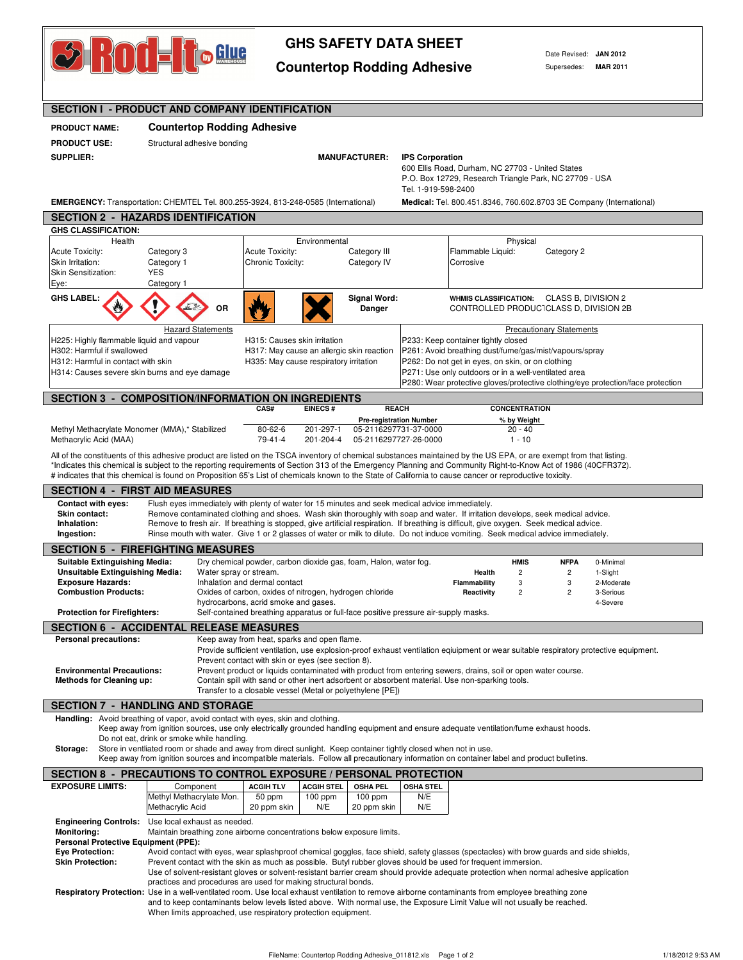

## **GHS SAFETY DATA SHEET**

Countertop Rodding Adhesive Supersedes: MAR 2011

Date Revised: **JAN 2012**

| <b>SECTION I - PRODUCT AND COMPANY IDENTIFICATION</b>                                                                                                                                                                                                                                                                                 |                                                                                                                                                                                                                                                                                            |                                                                                                            |                                                                                                                                                          |  |  |  |  |  |
|---------------------------------------------------------------------------------------------------------------------------------------------------------------------------------------------------------------------------------------------------------------------------------------------------------------------------------------|--------------------------------------------------------------------------------------------------------------------------------------------------------------------------------------------------------------------------------------------------------------------------------------------|------------------------------------------------------------------------------------------------------------|----------------------------------------------------------------------------------------------------------------------------------------------------------|--|--|--|--|--|
| <b>PRODUCT NAME:</b>                                                                                                                                                                                                                                                                                                                  | <b>Countertop Rodding Adhesive</b>                                                                                                                                                                                                                                                         |                                                                                                            |                                                                                                                                                          |  |  |  |  |  |
| <b>PRODUCT USE:</b>                                                                                                                                                                                                                                                                                                                   | Structural adhesive bonding                                                                                                                                                                                                                                                                |                                                                                                            |                                                                                                                                                          |  |  |  |  |  |
| <b>SUPPLIER:</b>                                                                                                                                                                                                                                                                                                                      |                                                                                                                                                                                                                                                                                            | <b>MANUFACTURER:</b>                                                                                       | <b>IPS Corporation</b>                                                                                                                                   |  |  |  |  |  |
|                                                                                                                                                                                                                                                                                                                                       |                                                                                                                                                                                                                                                                                            | 600 Ellis Road, Durham, NC 27703 - United States<br>P.O. Box 12729, Research Triangle Park, NC 27709 - USA |                                                                                                                                                          |  |  |  |  |  |
|                                                                                                                                                                                                                                                                                                                                       |                                                                                                                                                                                                                                                                                            |                                                                                                            | Tel. 1-919-598-2400                                                                                                                                      |  |  |  |  |  |
| <b>EMERGENCY:</b> Transportation: CHEMTEL Tel. 800.255-3924, 813-248-0585 (International)<br><b>Medical:</b> Tel. 800.451.8346, 760.602.8703 3E Company (International)                                                                                                                                                               |                                                                                                                                                                                                                                                                                            |                                                                                                            |                                                                                                                                                          |  |  |  |  |  |
| <b>SECTION 2 - HAZARDS IDENTIFICATION</b>                                                                                                                                                                                                                                                                                             |                                                                                                                                                                                                                                                                                            |                                                                                                            |                                                                                                                                                          |  |  |  |  |  |
| <b>GHS CLASSIFICATION:</b><br>Health                                                                                                                                                                                                                                                                                                  |                                                                                                                                                                                                                                                                                            | Environmental                                                                                              | Physical                                                                                                                                                 |  |  |  |  |  |
| Acute Toxicity:                                                                                                                                                                                                                                                                                                                       | Category 3                                                                                                                                                                                                                                                                                 | Acute Toxicity:<br>Category III                                                                            | Flammable Liquid:<br>Category 2                                                                                                                          |  |  |  |  |  |
| Skin Irritation:<br>Skin Sensitization:                                                                                                                                                                                                                                                                                               | Category 1<br><b>YES</b>                                                                                                                                                                                                                                                                   | Chronic Toxicity:<br>Category IV                                                                           | Corrosive                                                                                                                                                |  |  |  |  |  |
| Eye:                                                                                                                                                                                                                                                                                                                                  | Category 1                                                                                                                                                                                                                                                                                 |                                                                                                            |                                                                                                                                                          |  |  |  |  |  |
| <b>GHS LABEL:</b>                                                                                                                                                                                                                                                                                                                     |                                                                                                                                                                                                                                                                                            | <b>Signal Word:</b>                                                                                        | WHMIS CLASSIFICATION: CLASS B, DIVISION 2                                                                                                                |  |  |  |  |  |
|                                                                                                                                                                                                                                                                                                                                       | OR                                                                                                                                                                                                                                                                                         | Danger                                                                                                     | CONTROLLED PRODUCTCLASS D, DIVISION 2B                                                                                                                   |  |  |  |  |  |
|                                                                                                                                                                                                                                                                                                                                       | <b>Hazard Statements</b>                                                                                                                                                                                                                                                                   |                                                                                                            | <b>Precautionary Statements</b>                                                                                                                          |  |  |  |  |  |
| H225: Highly flammable liquid and vapour<br>H302: Harmful if swallowed                                                                                                                                                                                                                                                                |                                                                                                                                                                                                                                                                                            | H315: Causes skin irritation<br>H317: May cause an allergic skin reaction                                  | P233: Keep container tightly closed                                                                                                                      |  |  |  |  |  |
| H312: Harmful in contact with skin                                                                                                                                                                                                                                                                                                    |                                                                                                                                                                                                                                                                                            | H335: May cause respiratory irritation                                                                     | P261: Avoid breathing dust/fume/gas/mist/vapours/spray<br>P262: Do not get in eyes, on skin, or on clothing                                              |  |  |  |  |  |
| H314: Causes severe skin burns and eye damage                                                                                                                                                                                                                                                                                         |                                                                                                                                                                                                                                                                                            |                                                                                                            | P271: Use only outdoors or in a well-ventilated area                                                                                                     |  |  |  |  |  |
|                                                                                                                                                                                                                                                                                                                                       |                                                                                                                                                                                                                                                                                            |                                                                                                            | P280: Wear protective gloves/protective clothing/eye protection/face protection                                                                          |  |  |  |  |  |
|                                                                                                                                                                                                                                                                                                                                       |                                                                                                                                                                                                                                                                                            | <b>SECTION 3 - COMPOSITION/INFORMATION ON INGREDIENTS</b><br>CAS#<br><b>EINECS#</b>                        | <b>REACH</b><br><b>CONCENTRATION</b>                                                                                                                     |  |  |  |  |  |
|                                                                                                                                                                                                                                                                                                                                       |                                                                                                                                                                                                                                                                                            |                                                                                                            | <b>Pre-registration Number</b><br>% by Weight                                                                                                            |  |  |  |  |  |
| Methyl Methacrylate Monomer (MMA),* Stabilized<br>Methacrylic Acid (MAA)                                                                                                                                                                                                                                                              |                                                                                                                                                                                                                                                                                            | $80 - 62 - 6$<br>201-297-1<br>$79 - 41 - 4$<br>201-204-4                                                   | 05-2116297731-37-0000<br>20 - 40<br>05-2116297727-26-0000<br>$1 - 10$                                                                                    |  |  |  |  |  |
| All of the constituents of this adhesive product are listed on the TSCA inventory of chemical substances maintained by the US EPA, or are exempt from that listing.<br>*Indicates this chemical is subject to the reporting requirements of Section 313 of the Emergency Planning and Community Right-to-Know Act of 1986 (40CFR372). |                                                                                                                                                                                                                                                                                            |                                                                                                            |                                                                                                                                                          |  |  |  |  |  |
|                                                                                                                                                                                                                                                                                                                                       |                                                                                                                                                                                                                                                                                            |                                                                                                            | # indicates that this chemical is found on Proposition 65's List of chemicals known to the State of California to cause cancer or reproductive toxicity. |  |  |  |  |  |
|                                                                                                                                                                                                                                                                                                                                       | <b>SECTION 4 - FIRST AID MEASURES</b>                                                                                                                                                                                                                                                      |                                                                                                            |                                                                                                                                                          |  |  |  |  |  |
| <b>Contact with eyes:</b>                                                                                                                                                                                                                                                                                                             |                                                                                                                                                                                                                                                                                            | Flush eyes immediately with plenty of water for 15 minutes and seek medical advice immediately.            |                                                                                                                                                          |  |  |  |  |  |
| Inhalation:                                                                                                                                                                                                                                                                                                                           | Remove contaminated clothing and shoes. Wash skin thoroughly with soap and water. If irritation develops, seek medical advice.<br>Skin contact:<br>Remove to fresh air. If breathing is stopped, give artificial respiration. If breathing is difficult, give oxygen. Seek medical advice. |                                                                                                            |                                                                                                                                                          |  |  |  |  |  |
| Ingestion:                                                                                                                                                                                                                                                                                                                            |                                                                                                                                                                                                                                                                                            |                                                                                                            | Rinse mouth with water. Give 1 or 2 glasses of water or milk to dilute. Do not induce vomiting. Seek medical advice immediately.                         |  |  |  |  |  |
|                                                                                                                                                                                                                                                                                                                                       | <b>SECTION 5 - FIREFIGHTING MEASURES</b>                                                                                                                                                                                                                                                   |                                                                                                            |                                                                                                                                                          |  |  |  |  |  |
| <b>Suitable Extinguishing Media:</b><br><b>Unsuitable Extinguishing Media:</b>                                                                                                                                                                                                                                                        |                                                                                                                                                                                                                                                                                            | Dry chemical powder, carbon dioxide gas, foam, Halon, water fog.<br>Water spray or stream.                 | <b>HMIS</b><br><b>NFPA</b><br>0-Minimal<br>$\overline{c}$<br>$\overline{c}$<br>1-Slight<br>Health                                                        |  |  |  |  |  |
| <b>Exposure Hazards:</b>                                                                                                                                                                                                                                                                                                              |                                                                                                                                                                                                                                                                                            | Inhalation and dermal contact                                                                              | <b>Flammability</b><br>3<br>3<br>2-Moderate                                                                                                              |  |  |  |  |  |
| <b>Combustion Products:</b>                                                                                                                                                                                                                                                                                                           |                                                                                                                                                                                                                                                                                            | Oxides of carbon, oxides of nitrogen, hydrogen chloride<br>hydrocarbons, acrid smoke and gases.            | $\overline{c}$<br>Reactivity<br>$\overline{\mathbf{c}}$<br>3-Serious<br>4-Severe                                                                         |  |  |  |  |  |
| <b>Protection for Firefighters:</b>                                                                                                                                                                                                                                                                                                   |                                                                                                                                                                                                                                                                                            | Self-contained breathing apparatus or full-face positive pressure air-supply masks.                        |                                                                                                                                                          |  |  |  |  |  |
| <b>SECTION 6 - ACCIDENTAL RELEASE MEASURES</b>                                                                                                                                                                                                                                                                                        |                                                                                                                                                                                                                                                                                            |                                                                                                            |                                                                                                                                                          |  |  |  |  |  |
| <b>Personal precautions:</b>                                                                                                                                                                                                                                                                                                          |                                                                                                                                                                                                                                                                                            | Keep away from heat, sparks and open flame.                                                                | Provide sufficient ventilation, use explosion-proof exhaust ventilation eqiuipment or wear suitable respiratory protective equipment.                    |  |  |  |  |  |
|                                                                                                                                                                                                                                                                                                                                       |                                                                                                                                                                                                                                                                                            | Prevent contact with skin or eyes (see section 8).                                                         |                                                                                                                                                          |  |  |  |  |  |
| <b>Environmental Precautions:</b><br><b>Methods for Cleaning up:</b>                                                                                                                                                                                                                                                                  |                                                                                                                                                                                                                                                                                            | Contain spill with sand or other inert adsorbent or absorbent material. Use non-sparking tools.            | Prevent product or liquids contaminated with product from entering sewers, drains, soil or open water course.                                            |  |  |  |  |  |
|                                                                                                                                                                                                                                                                                                                                       |                                                                                                                                                                                                                                                                                            | Transfer to a closable vessel (Metal or polyethylene [PE])                                                 |                                                                                                                                                          |  |  |  |  |  |
|                                                                                                                                                                                                                                                                                                                                       | <b>SECTION 7 - HANDLING AND STORAGE</b>                                                                                                                                                                                                                                                    |                                                                                                            |                                                                                                                                                          |  |  |  |  |  |
|                                                                                                                                                                                                                                                                                                                                       |                                                                                                                                                                                                                                                                                            | Handling: Avoid breathing of vapor, avoid contact with eyes, skin and clothing.                            |                                                                                                                                                          |  |  |  |  |  |
|                                                                                                                                                                                                                                                                                                                                       | Do not eat, drink or smoke while handling.                                                                                                                                                                                                                                                 |                                                                                                            | Keep away from ignition sources, use only electrically grounded handling equipment and ensure adequate ventilation/fume exhaust hoods.                   |  |  |  |  |  |
| Storage:                                                                                                                                                                                                                                                                                                                              | Store in ventliated room or shade and away from direct sunlight. Keep container tightly closed when not in use.<br>Keep away from ignition sources and incompatible materials. Follow all precautionary information on container label and product bulletins.                              |                                                                                                            |                                                                                                                                                          |  |  |  |  |  |
|                                                                                                                                                                                                                                                                                                                                       |                                                                                                                                                                                                                                                                                            | SECTION 8 - PRECAUTIONS TO CONTROL EXPOSURE / PERSONAL PROTECTION                                          |                                                                                                                                                          |  |  |  |  |  |
| <b>EXPOSURE LIMITS:</b>                                                                                                                                                                                                                                                                                                               | Component                                                                                                                                                                                                                                                                                  | <b>ACGIH TLV</b><br><b>ACGIH STEL</b><br><b>OSHA PEL</b>                                                   | OSHA STEL                                                                                                                                                |  |  |  |  |  |
|                                                                                                                                                                                                                                                                                                                                       | Methyl Methacrylate Mon.<br>Methacrylic Acid                                                                                                                                                                                                                                               | 50 ppm<br>$100$ ppm<br>$100$ ppm<br>20 ppm skin<br>N/E<br>20 ppm skin                                      | N/E<br>N/E                                                                                                                                               |  |  |  |  |  |
|                                                                                                                                                                                                                                                                                                                                       | <b>Engineering Controls:</b> Use local exhaust as needed.                                                                                                                                                                                                                                  |                                                                                                            |                                                                                                                                                          |  |  |  |  |  |
| <b>Monitoring:</b>                                                                                                                                                                                                                                                                                                                    |                                                                                                                                                                                                                                                                                            | Maintain breathing zone airborne concentrations below exposure limits.                                     |                                                                                                                                                          |  |  |  |  |  |
| <b>Personal Protective Equipment (PPE):</b><br><b>Eye Protection:</b><br>Avoid contact with eyes, wear splashproof chemical goggles, face shield, safety glasses (spectacles) with brow guards and side shields,                                                                                                                      |                                                                                                                                                                                                                                                                                            |                                                                                                            |                                                                                                                                                          |  |  |  |  |  |
| Prevent contact with the skin as much as possible. Butyl rubber gloves should be used for frequent immersion.<br><b>Skin Protection:</b>                                                                                                                                                                                              |                                                                                                                                                                                                                                                                                            |                                                                                                            |                                                                                                                                                          |  |  |  |  |  |
|                                                                                                                                                                                                                                                                                                                                       |                                                                                                                                                                                                                                                                                            |                                                                                                            | Use of solvent-resistant gloves or solvent-resistant barrier cream should provide adequate protection when normal adhesive application                   |  |  |  |  |  |
| practices and procedures are used for making structural bonds.<br>Respiratory Protection: Use in a well-ventilated room. Use local exhaust ventilation to remove airborne contaminants from employee breathing zone                                                                                                                   |                                                                                                                                                                                                                                                                                            |                                                                                                            |                                                                                                                                                          |  |  |  |  |  |
| and to keep contaminants below levels listed above. With normal use, the Exposure Limit Value will not usually be reached.<br>When limits approached, use respiratory protection equipment.                                                                                                                                           |                                                                                                                                                                                                                                                                                            |                                                                                                            |                                                                                                                                                          |  |  |  |  |  |
|                                                                                                                                                                                                                                                                                                                                       |                                                                                                                                                                                                                                                                                            |                                                                                                            |                                                                                                                                                          |  |  |  |  |  |